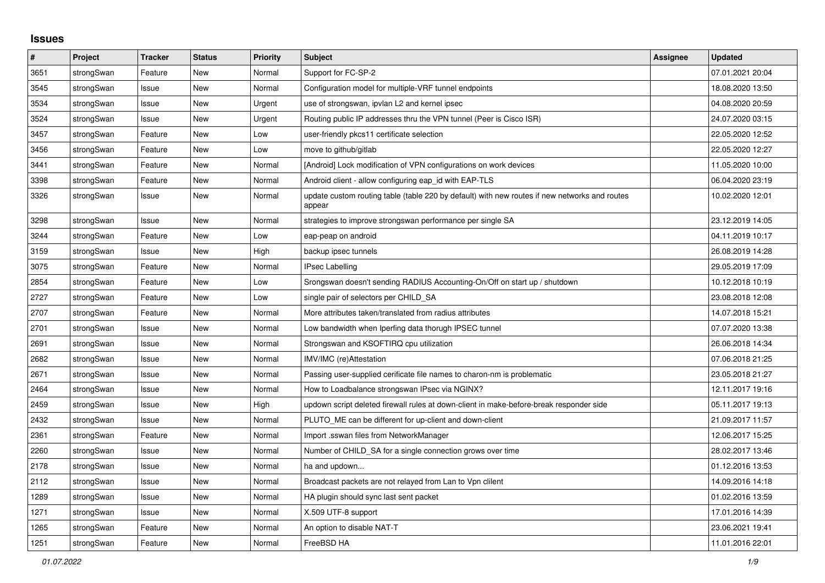## **Issues**

| #    | Project    | <b>Tracker</b> | <b>Status</b> | <b>Priority</b> | <b>Subject</b>                                                                                          | Assignee | <b>Updated</b>   |
|------|------------|----------------|---------------|-----------------|---------------------------------------------------------------------------------------------------------|----------|------------------|
| 3651 | strongSwan | Feature        | <b>New</b>    | Normal          | Support for FC-SP-2                                                                                     |          | 07.01.2021 20:04 |
| 3545 | strongSwan | Issue          | <b>New</b>    | Normal          | Configuration model for multiple-VRF tunnel endpoints                                                   |          | 18.08.2020 13:50 |
| 3534 | strongSwan | Issue          | <b>New</b>    | Urgent          | use of strongswan, ipvlan L2 and kernel ipsec                                                           |          | 04.08.2020 20:59 |
| 3524 | strongSwan | Issue          | <b>New</b>    | Urgent          | Routing public IP addresses thru the VPN tunnel (Peer is Cisco ISR)                                     |          | 24.07.2020 03:15 |
| 3457 | strongSwan | Feature        | <b>New</b>    | Low             | user-friendly pkcs11 certificate selection                                                              |          | 22.05.2020 12:52 |
| 3456 | strongSwan | Feature        | <b>New</b>    | Low             | move to github/gitlab                                                                                   |          | 22.05.2020 12:27 |
| 3441 | strongSwan | Feature        | <b>New</b>    | Normal          | [Android] Lock modification of VPN configurations on work devices                                       |          | 11.05.2020 10:00 |
| 3398 | strongSwan | Feature        | <b>New</b>    | Normal          | Android client - allow configuring eap id with EAP-TLS                                                  |          | 06.04.2020 23:19 |
| 3326 | strongSwan | Issue          | <b>New</b>    | Normal          | update custom routing table (table 220 by default) with new routes if new networks and routes<br>appear |          | 10.02.2020 12:01 |
| 3298 | strongSwan | Issue          | <b>New</b>    | Normal          | strategies to improve strongswan performance per single SA                                              |          | 23.12.2019 14:05 |
| 3244 | strongSwan | Feature        | <b>New</b>    | Low             | eap-peap on android                                                                                     |          | 04.11.2019 10:17 |
| 3159 | strongSwan | Issue          | <b>New</b>    | High            | backup ipsec tunnels                                                                                    |          | 26.08.2019 14:28 |
| 3075 | strongSwan | Feature        | <b>New</b>    | Normal          | <b>IPsec Labelling</b>                                                                                  |          | 29.05.2019 17:09 |
| 2854 | strongSwan | Feature        | <b>New</b>    | Low             | Srongswan doesn't sending RADIUS Accounting-On/Off on start up / shutdown                               |          | 10.12.2018 10:19 |
| 2727 | strongSwan | Feature        | New           | Low             | single pair of selectors per CHILD_SA                                                                   |          | 23.08.2018 12:08 |
| 2707 | strongSwan | Feature        | <b>New</b>    | Normal          | More attributes taken/translated from radius attributes                                                 |          | 14.07.2018 15:21 |
| 2701 | strongSwan | Issue          | <b>New</b>    | Normal          | Low bandwidth when Iperfing data thorugh IPSEC tunnel                                                   |          | 07.07.2020 13:38 |
| 2691 | strongSwan | Issue          | <b>New</b>    | Normal          | Strongswan and KSOFTIRQ cpu utilization                                                                 |          | 26.06.2018 14:34 |
| 2682 | strongSwan | Issue          | <b>New</b>    | Normal          | IMV/IMC (re)Attestation                                                                                 |          | 07.06.2018 21:25 |
| 2671 | strongSwan | Issue          | <b>New</b>    | Normal          | Passing user-supplied cerificate file names to charon-nm is problematic                                 |          | 23.05.2018 21:27 |
| 2464 | strongSwan | Issue          | <b>New</b>    | Normal          | How to Loadbalance strongswan IPsec via NGINX?                                                          |          | 12.11.2017 19:16 |
| 2459 | strongSwan | Issue          | <b>New</b>    | High            | updown script deleted firewall rules at down-client in make-before-break responder side                 |          | 05.11.2017 19:13 |
| 2432 | strongSwan | Issue          | <b>New</b>    | Normal          | PLUTO_ME can be different for up-client and down-client                                                 |          | 21.09.2017 11:57 |
| 2361 | strongSwan | Feature        | <b>New</b>    | Normal          | Import .sswan files from NetworkManager                                                                 |          | 12.06.2017 15:25 |
| 2260 | strongSwan | Issue          | <b>New</b>    | Normal          | Number of CHILD_SA for a single connection grows over time                                              |          | 28.02.2017 13:46 |
| 2178 | strongSwan | Issue          | <b>New</b>    | Normal          | ha and updown                                                                                           |          | 01.12.2016 13:53 |
| 2112 | strongSwan | Issue          | <b>New</b>    | Normal          | Broadcast packets are not relayed from Lan to Vpn clilent                                               |          | 14.09.2016 14:18 |
| 1289 | strongSwan | Issue          | <b>New</b>    | Normal          | HA plugin should sync last sent packet                                                                  |          | 01.02.2016 13:59 |
| 1271 | strongSwan | Issue          | <b>New</b>    | Normal          | X.509 UTF-8 support                                                                                     |          | 17.01.2016 14:39 |
| 1265 | strongSwan | Feature        | <b>New</b>    | Normal          | An option to disable NAT-T                                                                              |          | 23.06.2021 19:41 |
| 1251 | strongSwan | Feature        | <b>New</b>    | Normal          | FreeBSD HA                                                                                              |          | 11.01.2016 22:01 |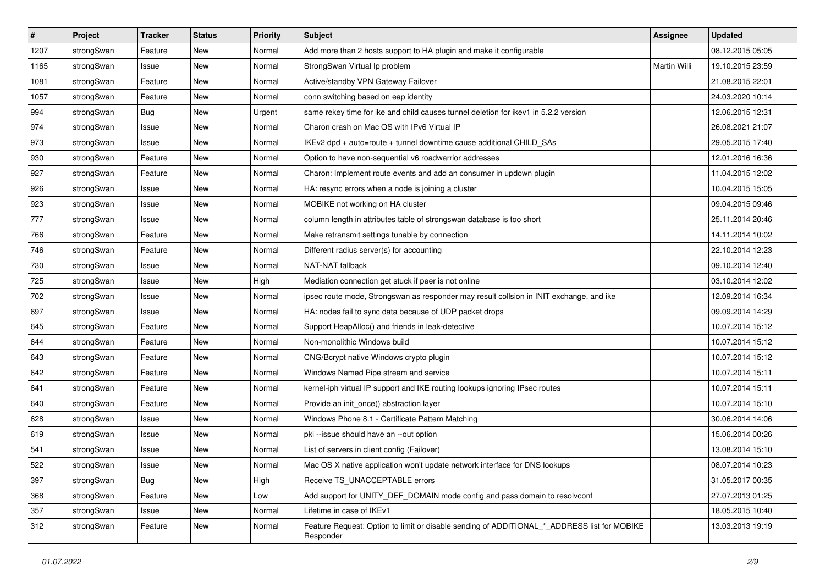| #    | Project    | <b>Tracker</b> | <b>Status</b> | <b>Priority</b> | <b>Subject</b>                                                                                            | <b>Assignee</b> | <b>Updated</b>   |
|------|------------|----------------|---------------|-----------------|-----------------------------------------------------------------------------------------------------------|-----------------|------------------|
| 1207 | strongSwan | Feature        | New           | Normal          | Add more than 2 hosts support to HA plugin and make it configurable                                       |                 | 08.12.2015 05:05 |
| 1165 | strongSwan | Issue          | <b>New</b>    | Normal          | StrongSwan Virtual Ip problem                                                                             | Martin Willi    | 19.10.2015 23:59 |
| 1081 | strongSwan | Feature        | New           | Normal          | Active/standby VPN Gateway Failover                                                                       |                 | 21.08.2015 22:01 |
| 1057 | strongSwan | Feature        | New           | Normal          | conn switching based on eap identity                                                                      |                 | 24.03.2020 10:14 |
| 994  | strongSwan | Bug            | <b>New</b>    | Urgent          | same rekey time for ike and child causes tunnel deletion for ikey1 in 5.2.2 version                       |                 | 12.06.2015 12:31 |
| 974  | strongSwan | Issue          | New           | Normal          | Charon crash on Mac OS with IPv6 Virtual IP                                                               |                 | 26.08.2021 21:07 |
| 973  | strongSwan | Issue          | New           | Normal          | IKEv2 dpd + auto=route + tunnel downtime cause additional CHILD_SAs                                       |                 | 29.05.2015 17:40 |
| 930  | strongSwan | Feature        | New           | Normal          | Option to have non-sequential v6 roadwarrior addresses                                                    |                 | 12.01.2016 16:36 |
| 927  | strongSwan | Feature        | New           | Normal          | Charon: Implement route events and add an consumer in updown plugin                                       |                 | 11.04.2015 12:02 |
| 926  | strongSwan | Issue          | <b>New</b>    | Normal          | HA: resync errors when a node is joining a cluster                                                        |                 | 10.04.2015 15:05 |
| 923  | strongSwan | Issue          | New           | Normal          | MOBIKE not working on HA cluster                                                                          |                 | 09.04.2015 09:46 |
| 777  | strongSwan | Issue          | New           | Normal          | column length in attributes table of strongswan database is too short                                     |                 | 25.11.2014 20:46 |
| 766  | strongSwan | Feature        | New           | Normal          | Make retransmit settings tunable by connection                                                            |                 | 14.11.2014 10:02 |
| 746  | strongSwan | Feature        | New           | Normal          | Different radius server(s) for accounting                                                                 |                 | 22.10.2014 12:23 |
| 730  | strongSwan | Issue          | <b>New</b>    | Normal          | NAT-NAT fallback                                                                                          |                 | 09.10.2014 12:40 |
| 725  | strongSwan | Issue          | New           | High            | Mediation connection get stuck if peer is not online                                                      |                 | 03.10.2014 12:02 |
| 702  | strongSwan | Issue          | New           | Normal          | ipsec route mode, Strongswan as responder may result collsion in INIT exchange. and ike                   |                 | 12.09.2014 16:34 |
| 697  | strongSwan | Issue          | <b>New</b>    | Normal          | HA: nodes fail to sync data because of UDP packet drops                                                   |                 | 09.09.2014 14:29 |
| 645  | strongSwan | Feature        | New           | Normal          | Support HeapAlloc() and friends in leak-detective                                                         |                 | 10.07.2014 15:12 |
| 644  | strongSwan | Feature        | New           | Normal          | Non-monolithic Windows build                                                                              |                 | 10.07.2014 15:12 |
| 643  | strongSwan | Feature        | New           | Normal          | CNG/Bcrypt native Windows crypto plugin                                                                   |                 | 10.07.2014 15:12 |
| 642  | strongSwan | Feature        | New           | Normal          | Windows Named Pipe stream and service                                                                     |                 | 10.07.2014 15:11 |
| 641  | strongSwan | Feature        | <b>New</b>    | Normal          | kernel-iph virtual IP support and IKE routing lookups ignoring IPsec routes                               |                 | 10.07.2014 15:11 |
| 640  | strongSwan | Feature        | New           | Normal          | Provide an init_once() abstraction layer                                                                  |                 | 10.07.2014 15:10 |
| 628  | strongSwan | Issue          | New           | Normal          | Windows Phone 8.1 - Certificate Pattern Matching                                                          |                 | 30.06.2014 14:06 |
| 619  | strongSwan | Issue          | New           | Normal          | pki --issue should have an --out option                                                                   |                 | 15.06.2014 00:26 |
| 541  | strongSwan | Issue          | New           | Normal          | List of servers in client config (Failover)                                                               |                 | 13.08.2014 15:10 |
| 522  | strongSwan | Issue          | New           | Normal          | Mac OS X native application won't update network interface for DNS lookups                                |                 | 08.07.2014 10:23 |
| 397  | strongSwan | Bug            | New           | High            | Receive TS UNACCEPTABLE errors                                                                            |                 | 31.05.2017 00:35 |
| 368  | strongSwan | Feature        | New           | Low             | Add support for UNITY DEF DOMAIN mode config and pass domain to resolve onf                               |                 | 27.07.2013 01:25 |
| 357  | strongSwan | Issue          | New           | Normal          | Lifetime in case of IKEv1                                                                                 |                 | 18.05.2015 10:40 |
| 312  | strongSwan | Feature        | New           | Normal          | Feature Request: Option to limit or disable sending of ADDITIONAL *_ ADDRESS list for MOBIKE<br>Responder |                 | 13.03.2013 19:19 |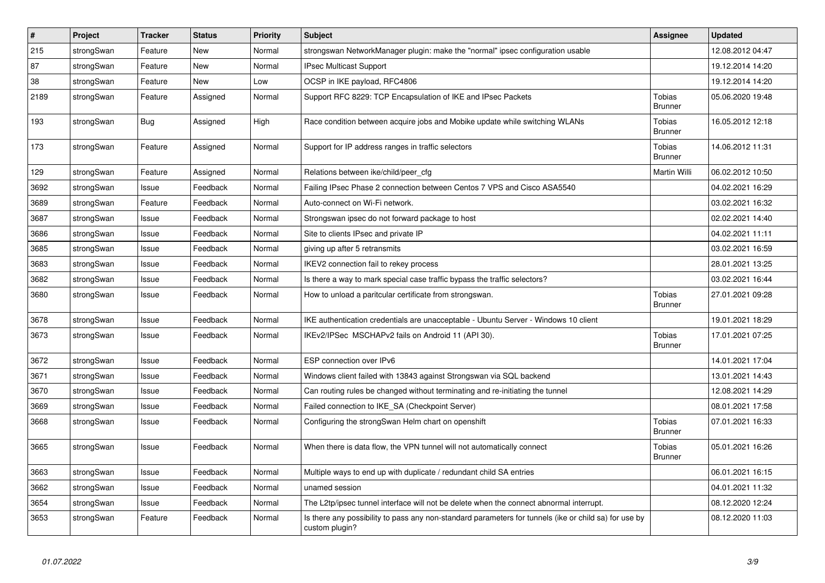| #    | Project    | <b>Tracker</b> | <b>Status</b> | Priority | <b>Subject</b>                                                                                                          | <b>Assignee</b>          | <b>Updated</b>   |
|------|------------|----------------|---------------|----------|-------------------------------------------------------------------------------------------------------------------------|--------------------------|------------------|
| 215  | strongSwan | Feature        | <b>New</b>    | Normal   | strongswan NetworkManager plugin: make the "normal" ipsec configuration usable                                          |                          | 12.08.2012 04:47 |
| 87   | strongSwan | Feature        | <b>New</b>    | Normal   | <b>IPsec Multicast Support</b>                                                                                          |                          | 19.12.2014 14:20 |
| 38   | strongSwan | Feature        | New           | Low      | OCSP in IKE payload, RFC4806                                                                                            |                          | 19.12.2014 14:20 |
| 2189 | strongSwan | Feature        | Assigned      | Normal   | Support RFC 8229: TCP Encapsulation of IKE and IPsec Packets                                                            | Tobias<br><b>Brunner</b> | 05.06.2020 19:48 |
| 193  | strongSwan | <b>Bug</b>     | Assigned      | High     | Race condition between acquire jobs and Mobike update while switching WLANs                                             | Tobias<br><b>Brunner</b> | 16.05.2012 12:18 |
| 173  | strongSwan | Feature        | Assigned      | Normal   | Support for IP address ranges in traffic selectors                                                                      | Tobias<br><b>Brunner</b> | 14.06.2012 11:31 |
| 129  | strongSwan | Feature        | Assigned      | Normal   | Relations between ike/child/peer_cfg                                                                                    | Martin Willi             | 06.02.2012 10:50 |
| 3692 | strongSwan | Issue          | Feedback      | Normal   | Failing IPsec Phase 2 connection between Centos 7 VPS and Cisco ASA5540                                                 |                          | 04.02.2021 16:29 |
| 3689 | strongSwan | Feature        | Feedback      | Normal   | Auto-connect on Wi-Fi network.                                                                                          |                          | 03.02.2021 16:32 |
| 3687 | strongSwan | Issue          | Feedback      | Normal   | Strongswan ipsec do not forward package to host                                                                         |                          | 02.02.2021 14:40 |
| 3686 | strongSwan | Issue          | Feedback      | Normal   | Site to clients IPsec and private IP                                                                                    |                          | 04.02.2021 11:11 |
| 3685 | strongSwan | Issue          | Feedback      | Normal   | giving up after 5 retransmits                                                                                           |                          | 03.02.2021 16:59 |
| 3683 | strongSwan | Issue          | Feedback      | Normal   | IKEV2 connection fail to rekey process                                                                                  |                          | 28.01.2021 13:25 |
| 3682 | strongSwan | Issue          | Feedback      | Normal   | Is there a way to mark special case traffic bypass the traffic selectors?                                               |                          | 03.02.2021 16:44 |
| 3680 | strongSwan | Issue          | Feedback      | Normal   | How to unload a paritcular certificate from strongswan.                                                                 | Tobias<br><b>Brunner</b> | 27.01.2021 09:28 |
| 3678 | strongSwan | Issue          | Feedback      | Normal   | IKE authentication credentials are unacceptable - Ubuntu Server - Windows 10 client                                     |                          | 19.01.2021 18:29 |
| 3673 | strongSwan | Issue          | Feedback      | Normal   | IKEv2/IPSec MSCHAPv2 fails on Android 11 (API 30).                                                                      | Tobias<br><b>Brunner</b> | 17.01.2021 07:25 |
| 3672 | strongSwan | Issue          | Feedback      | Normal   | ESP connection over IPv6                                                                                                |                          | 14.01.2021 17:04 |
| 3671 | strongSwan | Issue          | Feedback      | Normal   | Windows client failed with 13843 against Strongswan via SQL backend                                                     |                          | 13.01.2021 14:43 |
| 3670 | strongSwan | Issue          | Feedback      | Normal   | Can routing rules be changed without terminating and re-initiating the tunnel                                           |                          | 12.08.2021 14:29 |
| 3669 | strongSwan | Issue          | Feedback      | Normal   | Failed connection to IKE SA (Checkpoint Server)                                                                         |                          | 08.01.2021 17:58 |
| 3668 | strongSwan | Issue          | Feedback      | Normal   | Configuring the strongSwan Helm chart on openshift                                                                      | Tobias<br><b>Brunner</b> | 07.01.2021 16:33 |
| 3665 | strongSwan | Issue          | Feedback      | Normal   | When there is data flow, the VPN tunnel will not automatically connect                                                  | Tobias<br><b>Brunner</b> | 05.01.2021 16:26 |
| 3663 | strongSwan | Issue          | Feedback      | Normal   | Multiple ways to end up with duplicate / redundant child SA entries                                                     |                          | 06.01.2021 16:15 |
| 3662 | strongSwan | Issue          | Feedback      | Normal   | unamed session                                                                                                          |                          | 04.01.2021 11:32 |
| 3654 | strongSwan | Issue          | Feedback      | Normal   | The L2tp/ipsec tunnel interface will not be delete when the connect abnormal interrupt.                                 |                          | 08.12.2020 12:24 |
| 3653 | strongSwan | Feature        | Feedback      | Normal   | Is there any possibility to pass any non-standard parameters for tunnels (ike or child sa) for use by<br>custom plugin? |                          | 08.12.2020 11:03 |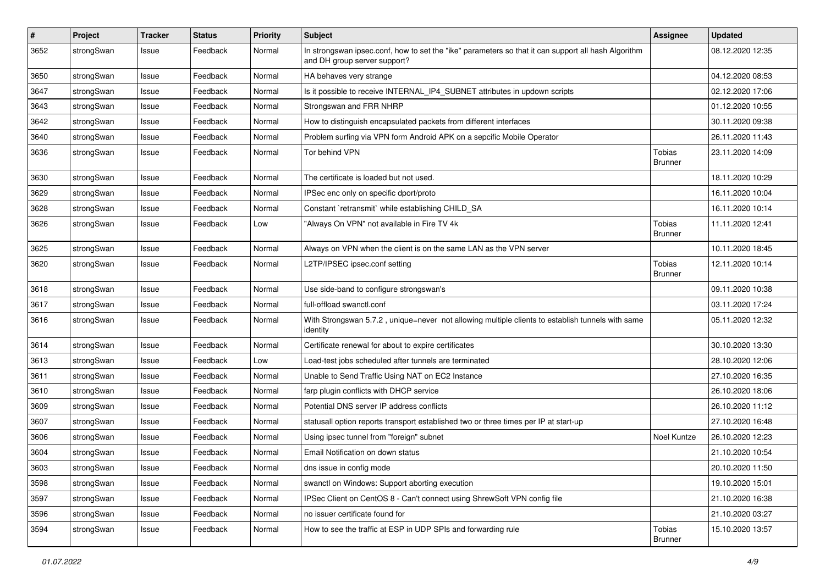| $\pmb{\#}$ | Project    | <b>Tracker</b> | <b>Status</b> | <b>Priority</b> | <b>Subject</b>                                                                                                                      | Assignee                        | <b>Updated</b>   |
|------------|------------|----------------|---------------|-----------------|-------------------------------------------------------------------------------------------------------------------------------------|---------------------------------|------------------|
| 3652       | strongSwan | Issue          | Feedback      | Normal          | In strongswan ipsec.conf, how to set the "ike" parameters so that it can support all hash Algorithm<br>and DH group server support? |                                 | 08.12.2020 12:35 |
| 3650       | strongSwan | Issue          | Feedback      | Normal          | HA behaves very strange                                                                                                             |                                 | 04.12.2020 08:53 |
| 3647       | strongSwan | Issue          | Feedback      | Normal          | Is it possible to receive INTERNAL_IP4_SUBNET attributes in updown scripts                                                          |                                 | 02.12.2020 17:06 |
| 3643       | strongSwan | Issue          | Feedback      | Normal          | Strongswan and FRR NHRP                                                                                                             |                                 | 01.12.2020 10:55 |
| 3642       | strongSwan | Issue          | Feedback      | Normal          | How to distinguish encapsulated packets from different interfaces                                                                   |                                 | 30.11.2020 09:38 |
| 3640       | strongSwan | Issue          | Feedback      | Normal          | Problem surfing via VPN form Android APK on a sepcific Mobile Operator                                                              |                                 | 26.11.2020 11:43 |
| 3636       | strongSwan | Issue          | Feedback      | Normal          | Tor behind VPN                                                                                                                      | Tobias<br><b>Brunner</b>        | 23.11.2020 14:09 |
| 3630       | strongSwan | Issue          | Feedback      | Normal          | The certificate is loaded but not used.                                                                                             |                                 | 18.11.2020 10:29 |
| 3629       | strongSwan | Issue          | Feedback      | Normal          | IPSec enc only on specific dport/proto                                                                                              |                                 | 16.11.2020 10:04 |
| 3628       | strongSwan | Issue          | Feedback      | Normal          | Constant `retransmit` while establishing CHILD_SA                                                                                   |                                 | 16.11.2020 10:14 |
| 3626       | strongSwan | Issue          | Feedback      | Low             | "Always On VPN" not available in Fire TV 4k                                                                                         | Tobias<br><b>Brunner</b>        | 11.11.2020 12:41 |
| 3625       | strongSwan | Issue          | Feedback      | Normal          | Always on VPN when the client is on the same LAN as the VPN server                                                                  |                                 | 10.11.2020 18:45 |
| 3620       | strongSwan | Issue          | Feedback      | Normal          | L2TP/IPSEC ipsec.conf setting                                                                                                       | Tobias<br><b>Brunner</b>        | 12.11.2020 10:14 |
| 3618       | strongSwan | Issue          | Feedback      | Normal          | Use side-band to configure strongswan's                                                                                             |                                 | 09.11.2020 10:38 |
| 3617       | strongSwan | Issue          | Feedback      | Normal          | full-offload swanctl.conf                                                                                                           |                                 | 03.11.2020 17:24 |
| 3616       | strongSwan | Issue          | Feedback      | Normal          | With Strongswan 5.7.2, unique=never not allowing multiple clients to establish tunnels with same<br>identity                        |                                 | 05.11.2020 12:32 |
| 3614       | strongSwan | Issue          | Feedback      | Normal          | Certificate renewal for about to expire certificates                                                                                |                                 | 30.10.2020 13:30 |
| 3613       | strongSwan | Issue          | Feedback      | Low             | Load-test jobs scheduled after tunnels are terminated                                                                               |                                 | 28.10.2020 12:06 |
| 3611       | strongSwan | Issue          | Feedback      | Normal          | Unable to Send Traffic Using NAT on EC2 Instance                                                                                    |                                 | 27.10.2020 16:35 |
| 3610       | strongSwan | Issue          | Feedback      | Normal          | farp plugin conflicts with DHCP service                                                                                             |                                 | 26.10.2020 18:06 |
| 3609       | strongSwan | Issue          | Feedback      | Normal          | Potential DNS server IP address conflicts                                                                                           |                                 | 26.10.2020 11:12 |
| 3607       | strongSwan | Issue          | Feedback      | Normal          | statusall option reports transport established two or three times per IP at start-up                                                |                                 | 27.10.2020 16:48 |
| 3606       | strongSwan | Issue          | Feedback      | Normal          | Using ipsec tunnel from "foreign" subnet                                                                                            | <b>Noel Kuntze</b>              | 26.10.2020 12:23 |
| 3604       | strongSwan | Issue          | Feedback      | Normal          | Email Notification on down status                                                                                                   |                                 | 21.10.2020 10:54 |
| 3603       | strongSwan | Issue          | Feedback      | Normal          | dns issue in config mode                                                                                                            |                                 | 20.10.2020 11:50 |
| 3598       | strongSwan | Issue          | Feedback      | Normal          | swanctl on Windows: Support aborting execution                                                                                      |                                 | 19.10.2020 15:01 |
| 3597       | strongSwan | Issue          | Feedback      | Normal          | IPSec Client on CentOS 8 - Can't connect using ShrewSoft VPN config file                                                            |                                 | 21.10.2020 16:38 |
| 3596       | strongSwan | Issue          | Feedback      | Normal          | no issuer certificate found for                                                                                                     |                                 | 21.10.2020 03:27 |
| 3594       | strongSwan | Issue          | Feedback      | Normal          | How to see the traffic at ESP in UDP SPIs and forwarding rule                                                                       | <b>Tobias</b><br><b>Brunner</b> | 15.10.2020 13:57 |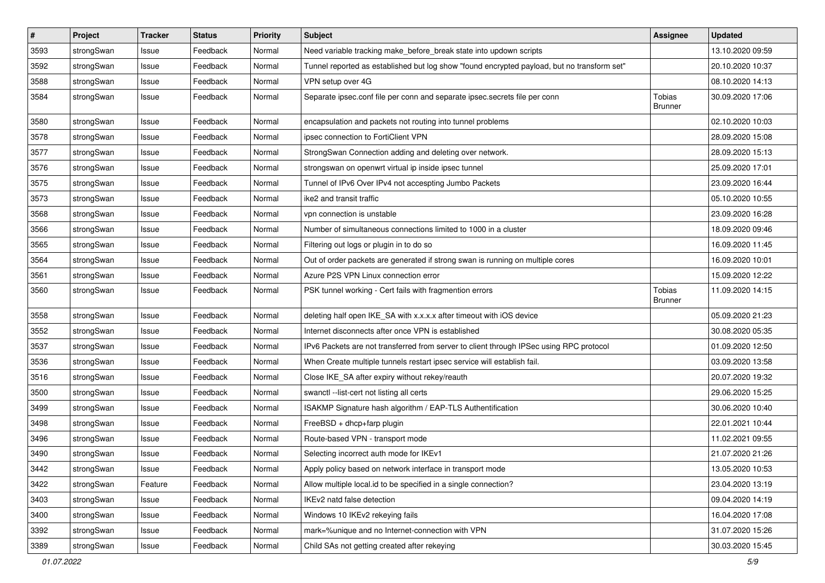| $\pmb{\#}$ | Project    | <b>Tracker</b> | <b>Status</b> | <b>Priority</b> | <b>Subject</b>                                                                              | <b>Assignee</b>          | <b>Updated</b>   |
|------------|------------|----------------|---------------|-----------------|---------------------------------------------------------------------------------------------|--------------------------|------------------|
| 3593       | strongSwan | Issue          | Feedback      | Normal          | Need variable tracking make_before_break state into updown scripts                          |                          | 13.10.2020 09:59 |
| 3592       | strongSwan | Issue          | Feedback      | Normal          | Tunnel reported as established but log show "found encrypted payload, but no transform set" |                          | 20.10.2020 10:37 |
| 3588       | strongSwan | Issue          | Feedback      | Normal          | VPN setup over 4G                                                                           |                          | 08.10.2020 14:13 |
| 3584       | strongSwan | Issue          | Feedback      | Normal          | Separate ipsec.conf file per conn and separate ipsec.secrets file per conn                  | Tobias<br><b>Brunner</b> | 30.09.2020 17:06 |
| 3580       | strongSwan | Issue          | Feedback      | Normal          | encapsulation and packets not routing into tunnel problems                                  |                          | 02.10.2020 10:03 |
| 3578       | strongSwan | Issue          | Feedback      | Normal          | ipsec connection to FortiClient VPN                                                         |                          | 28.09.2020 15:08 |
| 3577       | strongSwan | Issue          | Feedback      | Normal          | StrongSwan Connection adding and deleting over network.                                     |                          | 28.09.2020 15:13 |
| 3576       | strongSwan | Issue          | Feedback      | Normal          | strongswan on openwrt virtual ip inside ipsec tunnel                                        |                          | 25.09.2020 17:01 |
| 3575       | strongSwan | Issue          | Feedback      | Normal          | Tunnel of IPv6 Over IPv4 not accespting Jumbo Packets                                       |                          | 23.09.2020 16:44 |
| 3573       | strongSwan | Issue          | Feedback      | Normal          | ike2 and transit traffic                                                                    |                          | 05.10.2020 10:55 |
| 3568       | strongSwan | Issue          | Feedback      | Normal          | vpn connection is unstable                                                                  |                          | 23.09.2020 16:28 |
| 3566       | strongSwan | Issue          | Feedback      | Normal          | Number of simultaneous connections limited to 1000 in a cluster                             |                          | 18.09.2020 09:46 |
| 3565       | strongSwan | Issue          | Feedback      | Normal          | Filtering out logs or plugin in to do so                                                    |                          | 16.09.2020 11:45 |
| 3564       | strongSwan | Issue          | Feedback      | Normal          | Out of order packets are generated if strong swan is running on multiple cores              |                          | 16.09.2020 10:01 |
| 3561       | strongSwan | Issue          | Feedback      | Normal          | Azure P2S VPN Linux connection error                                                        |                          | 15.09.2020 12:22 |
| 3560       | strongSwan | Issue          | Feedback      | Normal          | PSK tunnel working - Cert fails with fragmention errors                                     | Tobias<br><b>Brunner</b> | 11.09.2020 14:15 |
| 3558       | strongSwan | Issue          | Feedback      | Normal          | deleting half open IKE_SA with x.x.x.x after timeout with iOS device                        |                          | 05.09.2020 21:23 |
| 3552       | strongSwan | Issue          | Feedback      | Normal          | Internet disconnects after once VPN is established                                          |                          | 30.08.2020 05:35 |
| 3537       | strongSwan | Issue          | Feedback      | Normal          | IPv6 Packets are not transferred from server to client through IPSec using RPC protocol     |                          | 01.09.2020 12:50 |
| 3536       | strongSwan | Issue          | Feedback      | Normal          | When Create multiple tunnels restart ipsec service will establish fail.                     |                          | 03.09.2020 13:58 |
| 3516       | strongSwan | Issue          | Feedback      | Normal          | Close IKE_SA after expiry without rekey/reauth                                              |                          | 20.07.2020 19:32 |
| 3500       | strongSwan | Issue          | Feedback      | Normal          | swanctl --list-cert not listing all certs                                                   |                          | 29.06.2020 15:25 |
| 3499       | strongSwan | Issue          | Feedback      | Normal          | ISAKMP Signature hash algorithm / EAP-TLS Authentification                                  |                          | 30.06.2020 10:40 |
| 3498       | strongSwan | Issue          | Feedback      | Normal          | FreeBSD + dhcp+farp plugin                                                                  |                          | 22.01.2021 10:44 |
| 3496       | strongSwan | Issue          | Feedback      | Normal          | Route-based VPN - transport mode                                                            |                          | 11.02.2021 09:55 |
| 3490       | strongSwan | Issue          | Feedback      | Normal          | Selecting incorrect auth mode for IKEv1                                                     |                          | 21.07.2020 21:26 |
| 3442       | strongSwan | Issue          | Feedback      | Normal          | Apply policy based on network interface in transport mode                                   |                          | 13.05.2020 10:53 |
| 3422       | strongSwan | Feature        | Feedback      | Normal          | Allow multiple local.id to be specified in a single connection?                             |                          | 23.04.2020 13:19 |
| 3403       | strongSwan | Issue          | Feedback      | Normal          | IKEv2 natd false detection                                                                  |                          | 09.04.2020 14:19 |
| 3400       | strongSwan | Issue          | Feedback      | Normal          | Windows 10 IKEv2 rekeying fails                                                             |                          | 16.04.2020 17:08 |
| 3392       | strongSwan | Issue          | Feedback      | Normal          | mark=%unique and no Internet-connection with VPN                                            |                          | 31.07.2020 15:26 |
| 3389       | strongSwan | Issue          | Feedback      | Normal          | Child SAs not getting created after rekeying                                                |                          | 30.03.2020 15:45 |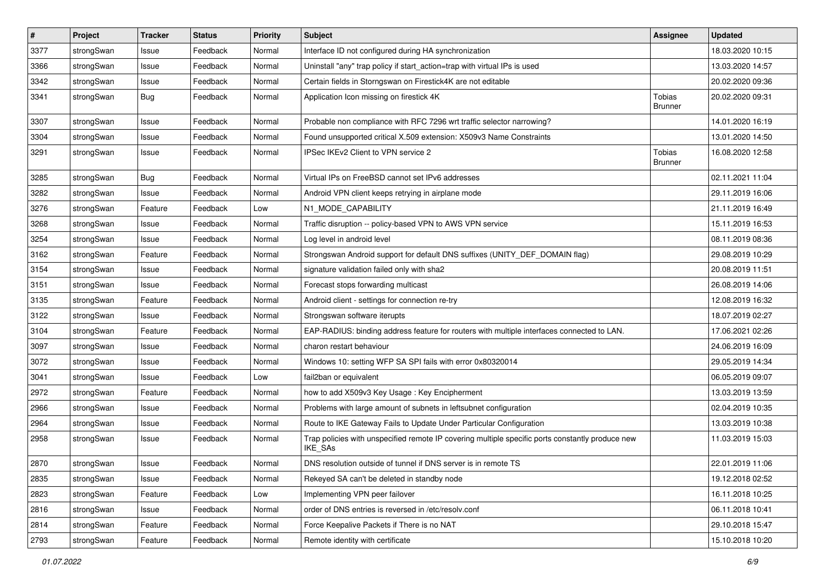| $\pmb{\#}$ | Project    | <b>Tracker</b> | <b>Status</b> | <b>Priority</b> | <b>Subject</b>                                                                                              | <b>Assignee</b>          | <b>Updated</b>   |
|------------|------------|----------------|---------------|-----------------|-------------------------------------------------------------------------------------------------------------|--------------------------|------------------|
| 3377       | strongSwan | Issue          | Feedback      | Normal          | Interface ID not configured during HA synchronization                                                       |                          | 18.03.2020 10:15 |
| 3366       | strongSwan | Issue          | Feedback      | Normal          | Uninstall "any" trap policy if start_action=trap with virtual IPs is used                                   |                          | 13.03.2020 14:57 |
| 3342       | strongSwan | Issue          | Feedback      | Normal          | Certain fields in Storngswan on Firestick4K are not editable                                                |                          | 20.02.2020 09:36 |
| 3341       | strongSwan | <b>Bug</b>     | Feedback      | Normal          | Application Icon missing on firestick 4K                                                                    | Tobias<br><b>Brunner</b> | 20.02.2020 09:31 |
| 3307       | strongSwan | Issue          | Feedback      | Normal          | Probable non compliance with RFC 7296 wrt traffic selector narrowing?                                       |                          | 14.01.2020 16:19 |
| 3304       | strongSwan | Issue          | Feedback      | Normal          | Found unsupported critical X.509 extension: X509v3 Name Constraints                                         |                          | 13.01.2020 14:50 |
| 3291       | strongSwan | Issue          | Feedback      | Normal          | IPSec IKEv2 Client to VPN service 2                                                                         | Tobias<br><b>Brunner</b> | 16.08.2020 12:58 |
| 3285       | strongSwan | <b>Bug</b>     | Feedback      | Normal          | Virtual IPs on FreeBSD cannot set IPv6 addresses                                                            |                          | 02.11.2021 11:04 |
| 3282       | strongSwan | Issue          | Feedback      | Normal          | Android VPN client keeps retrying in airplane mode                                                          |                          | 29.11.2019 16:06 |
| 3276       | strongSwan | Feature        | Feedback      | Low             | N1_MODE_CAPABILITY                                                                                          |                          | 21.11.2019 16:49 |
| 3268       | strongSwan | Issue          | Feedback      | Normal          | Traffic disruption -- policy-based VPN to AWS VPN service                                                   |                          | 15.11.2019 16:53 |
| 3254       | strongSwan | Issue          | Feedback      | Normal          | Log level in android level                                                                                  |                          | 08.11.2019 08:36 |
| 3162       | strongSwan | Feature        | Feedback      | Normal          | Strongswan Android support for default DNS suffixes (UNITY_DEF_DOMAIN flag)                                 |                          | 29.08.2019 10:29 |
| 3154       | strongSwan | Issue          | Feedback      | Normal          | signature validation failed only with sha2                                                                  |                          | 20.08.2019 11:51 |
| 3151       | strongSwan | Issue          | Feedback      | Normal          | Forecast stops forwarding multicast                                                                         |                          | 26.08.2019 14:06 |
| 3135       | strongSwan | Feature        | Feedback      | Normal          | Android client - settings for connection re-try                                                             |                          | 12.08.2019 16:32 |
| 3122       | strongSwan | Issue          | Feedback      | Normal          | Strongswan software iterupts                                                                                |                          | 18.07.2019 02:27 |
| 3104       | strongSwan | Feature        | Feedback      | Normal          | EAP-RADIUS: binding address feature for routers with multiple interfaces connected to LAN.                  |                          | 17.06.2021 02:26 |
| 3097       | strongSwan | Issue          | Feedback      | Normal          | charon restart behaviour                                                                                    |                          | 24.06.2019 16:09 |
| 3072       | strongSwan | Issue          | Feedback      | Normal          | Windows 10: setting WFP SA SPI fails with error 0x80320014                                                  |                          | 29.05.2019 14:34 |
| 3041       | strongSwan | Issue          | Feedback      | Low             | fail2ban or equivalent                                                                                      |                          | 06.05.2019 09:07 |
| 2972       | strongSwan | Feature        | Feedback      | Normal          | how to add X509v3 Key Usage: Key Encipherment                                                               |                          | 13.03.2019 13:59 |
| 2966       | strongSwan | Issue          | Feedback      | Normal          | Problems with large amount of subnets in leftsubnet configuration                                           |                          | 02.04.2019 10:35 |
| 2964       | strongSwan | Issue          | Feedback      | Normal          | Route to IKE Gateway Fails to Update Under Particular Configuration                                         |                          | 13.03.2019 10:38 |
| 2958       | strongSwan | Issue          | Feedback      | Normal          | Trap policies with unspecified remote IP covering multiple specific ports constantly produce new<br>IKE_SAs |                          | 11.03.2019 15:03 |
| 2870       | strongSwan | Issue          | Feedback      | Normal          | DNS resolution outside of tunnel if DNS server is in remote TS                                              |                          | 22.01.2019 11:06 |
| 2835       | strongSwan | Issue          | Feedback      | Normal          | Rekeyed SA can't be deleted in standby node                                                                 |                          | 19.12.2018 02:52 |
| 2823       | strongSwan | Feature        | Feedback      | Low             | Implementing VPN peer failover                                                                              |                          | 16.11.2018 10:25 |
| 2816       | strongSwan | Issue          | Feedback      | Normal          | order of DNS entries is reversed in /etc/resolv.conf                                                        |                          | 06.11.2018 10:41 |
| 2814       | strongSwan | Feature        | Feedback      | Normal          | Force Keepalive Packets if There is no NAT                                                                  |                          | 29.10.2018 15:47 |
| 2793       | strongSwan | Feature        | Feedback      | Normal          | Remote identity with certificate                                                                            |                          | 15.10.2018 10:20 |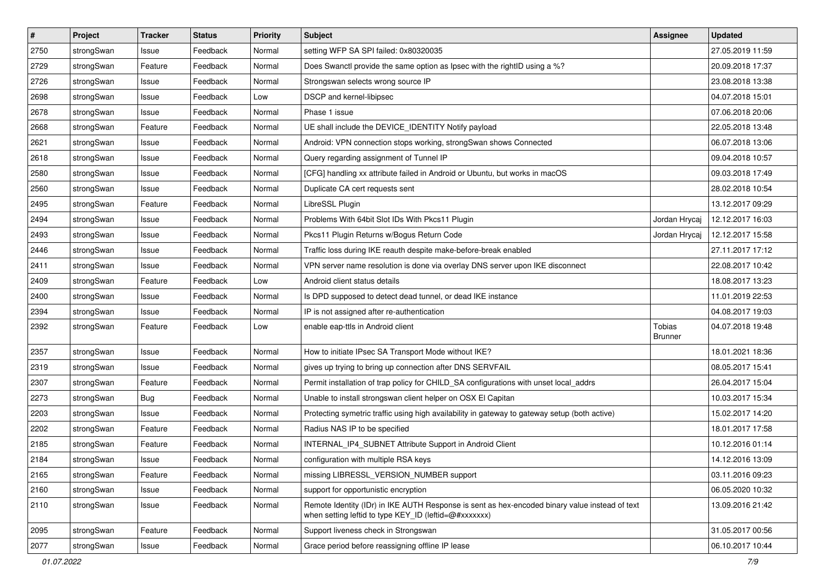| $\pmb{\#}$ | Project    | <b>Tracker</b> | <b>Status</b> | <b>Priority</b> | Subject                                                                                                                                                 | <b>Assignee</b>          | <b>Updated</b>   |
|------------|------------|----------------|---------------|-----------------|---------------------------------------------------------------------------------------------------------------------------------------------------------|--------------------------|------------------|
| 2750       | strongSwan | Issue          | Feedback      | Normal          | setting WFP SA SPI failed: 0x80320035                                                                                                                   |                          | 27.05.2019 11:59 |
| 2729       | strongSwan | Feature        | Feedback      | Normal          | Does Swanctl provide the same option as Ipsec with the rightID using a %?                                                                               |                          | 20.09.2018 17:37 |
| 2726       | strongSwan | Issue          | Feedback      | Normal          | Strongswan selects wrong source IP                                                                                                                      |                          | 23.08.2018 13:38 |
| 2698       | strongSwan | Issue          | Feedback      | Low             | DSCP and kernel-libipsec                                                                                                                                |                          | 04.07.2018 15:01 |
| 2678       | strongSwan | Issue          | Feedback      | Normal          | Phase 1 issue                                                                                                                                           |                          | 07.06.2018 20:06 |
| 2668       | strongSwan | Feature        | Feedback      | Normal          | UE shall include the DEVICE_IDENTITY Notify payload                                                                                                     |                          | 22.05.2018 13:48 |
| 2621       | strongSwan | Issue          | Feedback      | Normal          | Android: VPN connection stops working, strongSwan shows Connected                                                                                       |                          | 06.07.2018 13:06 |
| 2618       | strongSwan | Issue          | Feedback      | Normal          | Query regarding assignment of Tunnel IP                                                                                                                 |                          | 09.04.2018 10:57 |
| 2580       | strongSwan | Issue          | Feedback      | Normal          | [CFG] handling xx attribute failed in Android or Ubuntu, but works in macOS                                                                             |                          | 09.03.2018 17:49 |
| 2560       | strongSwan | Issue          | Feedback      | Normal          | Duplicate CA cert requests sent                                                                                                                         |                          | 28.02.2018 10:54 |
| 2495       | strongSwan | Feature        | Feedback      | Normal          | LibreSSL Plugin                                                                                                                                         |                          | 13.12.2017 09:29 |
| 2494       | strongSwan | Issue          | Feedback      | Normal          | Problems With 64bit Slot IDs With Pkcs11 Plugin                                                                                                         | Jordan Hrycaj            | 12.12.2017 16:03 |
| 2493       | strongSwan | Issue          | Feedback      | Normal          | Pkcs11 Plugin Returns w/Bogus Return Code                                                                                                               | Jordan Hrycaj            | 12.12.2017 15:58 |
| 2446       | strongSwan | Issue          | Feedback      | Normal          | Traffic loss during IKE reauth despite make-before-break enabled                                                                                        |                          | 27.11.2017 17:12 |
| 2411       | strongSwan | Issue          | Feedback      | Normal          | VPN server name resolution is done via overlay DNS server upon IKE disconnect                                                                           |                          | 22.08.2017 10:42 |
| 2409       | strongSwan | Feature        | Feedback      | Low             | Android client status details                                                                                                                           |                          | 18.08.2017 13:23 |
| 2400       | strongSwan | Issue          | Feedback      | Normal          | Is DPD supposed to detect dead tunnel, or dead IKE instance                                                                                             |                          | 11.01.2019 22:53 |
| 2394       | strongSwan | Issue          | Feedback      | Normal          | IP is not assigned after re-authentication                                                                                                              |                          | 04.08.2017 19:03 |
| 2392       | strongSwan | Feature        | Feedback      | Low             | enable eap-ttls in Android client                                                                                                                       | <b>Tobias</b><br>Brunner | 04.07.2018 19:48 |
| 2357       | strongSwan | Issue          | Feedback      | Normal          | How to initiate IPsec SA Transport Mode without IKE?                                                                                                    |                          | 18.01.2021 18:36 |
| 2319       | strongSwan | Issue          | Feedback      | Normal          | gives up trying to bring up connection after DNS SERVFAIL                                                                                               |                          | 08.05.2017 15:41 |
| 2307       | strongSwan | Feature        | Feedback      | Normal          | Permit installation of trap policy for CHILD_SA configurations with unset local_addrs                                                                   |                          | 26.04.2017 15:04 |
| 2273       | strongSwan | <b>Bug</b>     | Feedback      | Normal          | Unable to install strongswan client helper on OSX El Capitan                                                                                            |                          | 10.03.2017 15:34 |
| 2203       | strongSwan | Issue          | Feedback      | Normal          | Protecting symetric traffic using high availability in gateway to gateway setup (both active)                                                           |                          | 15.02.2017 14:20 |
| 2202       | strongSwan | Feature        | Feedback      | Normal          | Radius NAS IP to be specified                                                                                                                           |                          | 18.01.2017 17:58 |
| 2185       | strongSwan | Feature        | Feedback      | Normal          | INTERNAL_IP4_SUBNET Attribute Support in Android Client                                                                                                 |                          | 10.12.2016 01:14 |
| 2184       | strongSwan | Issue          | Feedback      | Normal          | configuration with multiple RSA keys                                                                                                                    |                          | 14.12.2016 13:09 |
| 2165       | strongSwan | Feature        | Feedback      | Normal          | missing LIBRESSL_VERSION_NUMBER support                                                                                                                 |                          | 03.11.2016 09:23 |
| 2160       | strongSwan | Issue          | Feedback      | Normal          | support for opportunistic encryption                                                                                                                    |                          | 06.05.2020 10:32 |
| 2110       | strongSwan | Issue          | Feedback      | Normal          | Remote Identity (IDr) in IKE AUTH Response is sent as hex-encoded binary value instead of text<br>when setting leftid to type KEY_ID (leftid=@#xxxxxxx) |                          | 13.09.2016 21:42 |
| 2095       | strongSwan | Feature        | Feedback      | Normal          | Support liveness check in Strongswan                                                                                                                    |                          | 31.05.2017 00:56 |
| 2077       | strongSwan | Issue          | Feedback      | Normal          | Grace period before reassigning offline IP lease                                                                                                        |                          | 06.10.2017 10:44 |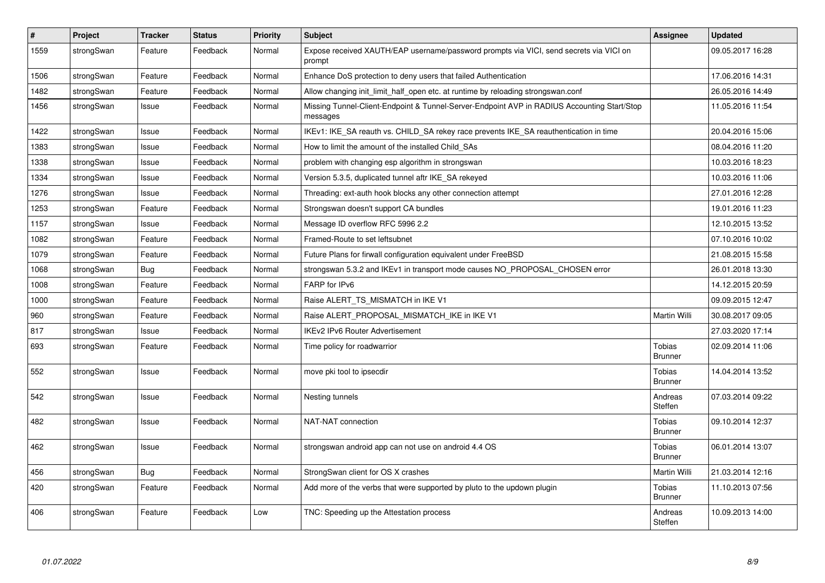| $\#$ | Project    | <b>Tracker</b> | <b>Status</b> | Priority | <b>Subject</b>                                                                                          | Assignee                        | <b>Updated</b>   |
|------|------------|----------------|---------------|----------|---------------------------------------------------------------------------------------------------------|---------------------------------|------------------|
| 1559 | strongSwan | Feature        | Feedback      | Normal   | Expose received XAUTH/EAP username/password prompts via VICI, send secrets via VICI on<br>prompt        |                                 | 09.05.2017 16:28 |
| 1506 | strongSwan | Feature        | Feedback      | Normal   | Enhance DoS protection to deny users that failed Authentication                                         |                                 | 17.06.2016 14:31 |
| 1482 | strongSwan | Feature        | Feedback      | Normal   | Allow changing init_limit_half_open etc. at runtime by reloading strongswan.conf                        |                                 | 26.05.2016 14:49 |
| 1456 | strongSwan | Issue          | Feedback      | Normal   | Missing Tunnel-Client-Endpoint & Tunnel-Server-Endpoint AVP in RADIUS Accounting Start/Stop<br>messages |                                 | 11.05.2016 11:54 |
| 1422 | strongSwan | Issue          | Feedback      | Normal   | IKEv1: IKE_SA reauth vs. CHILD_SA rekey race prevents IKE_SA reauthentication in time                   |                                 | 20.04.2016 15:06 |
| 1383 | strongSwan | Issue          | Feedback      | Normal   | How to limit the amount of the installed Child_SAs                                                      |                                 | 08.04.2016 11:20 |
| 1338 | strongSwan | Issue          | Feedback      | Normal   | problem with changing esp algorithm in strongswan                                                       |                                 | 10.03.2016 18:23 |
| 1334 | strongSwan | Issue          | Feedback      | Normal   | Version 5.3.5, duplicated tunnel aftr IKE SA rekeyed                                                    |                                 | 10.03.2016 11:06 |
| 1276 | strongSwan | Issue          | Feedback      | Normal   | Threading: ext-auth hook blocks any other connection attempt                                            |                                 | 27.01.2016 12:28 |
| 1253 | strongSwan | Feature        | Feedback      | Normal   | Strongswan doesn't support CA bundles                                                                   |                                 | 19.01.2016 11:23 |
| 1157 | strongSwan | Issue          | Feedback      | Normal   | Message ID overflow RFC 5996 2.2                                                                        |                                 | 12.10.2015 13:52 |
| 1082 | strongSwan | Feature        | Feedback      | Normal   | Framed-Route to set leftsubnet                                                                          |                                 | 07.10.2016 10:02 |
| 1079 | strongSwan | Feature        | Feedback      | Normal   | Future Plans for firwall configuration equivalent under FreeBSD                                         |                                 | 21.08.2015 15:58 |
| 1068 | strongSwan | Bug            | Feedback      | Normal   | strongswan 5.3.2 and IKEv1 in transport mode causes NO_PROPOSAL_CHOSEN error                            |                                 | 26.01.2018 13:30 |
| 1008 | strongSwan | Feature        | Feedback      | Normal   | FARP for IPv6                                                                                           |                                 | 14.12.2015 20:59 |
| 1000 | strongSwan | Feature        | Feedback      | Normal   | Raise ALERT_TS_MISMATCH in IKE V1                                                                       |                                 | 09.09.2015 12:47 |
| 960  | strongSwan | Feature        | Feedback      | Normal   | Raise ALERT_PROPOSAL_MISMATCH_IKE in IKE V1                                                             | Martin Willi                    | 30.08.2017 09:05 |
| 817  | strongSwan | Issue          | Feedback      | Normal   | <b>IKEv2 IPv6 Router Advertisement</b>                                                                  |                                 | 27.03.2020 17:14 |
| 693  | strongSwan | Feature        | Feedback      | Normal   | Time policy for roadwarrior                                                                             | Tobias<br><b>Brunner</b>        | 02.09.2014 11:06 |
| 552  | strongSwan | Issue          | Feedback      | Normal   | move pki tool to ipsecdir                                                                               | <b>Tobias</b><br><b>Brunner</b> | 14.04.2014 13:52 |
| 542  | strongSwan | Issue          | Feedback      | Normal   | Nesting tunnels                                                                                         | Andreas<br>Steffen              | 07.03.2014 09:22 |
| 482  | strongSwan | Issue          | Feedback      | Normal   | NAT-NAT connection                                                                                      | <b>Tobias</b><br><b>Brunner</b> | 09.10.2014 12:37 |
| 462  | strongSwan | Issue          | Feedback      | Normal   | strongswan android app can not use on android 4.4 OS                                                    | Tobias<br><b>Brunner</b>        | 06.01.2014 13:07 |
| 456  | strongSwan | <b>Bug</b>     | Feedback      | Normal   | StrongSwan client for OS X crashes                                                                      | Martin Willi                    | 21.03.2014 12:16 |
| 420  | strongSwan | Feature        | Feedback      | Normal   | Add more of the verbs that were supported by pluto to the updown plugin                                 | Tobias<br><b>Brunner</b>        | 11.10.2013 07:56 |
| 406  | strongSwan | Feature        | Feedback      | Low      | TNC: Speeding up the Attestation process                                                                | Andreas<br>Steffen              | 10.09.2013 14:00 |